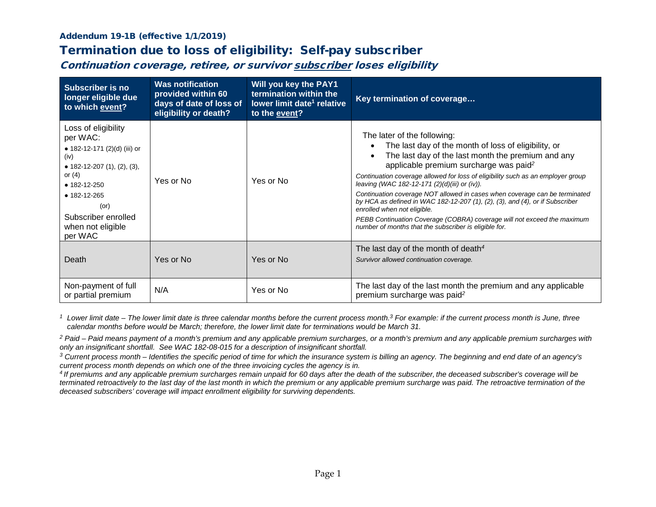## Addendum 19-1B (effective 1/1/2019)

## Termination due to loss of eligibility: Self-pay subscriber

Continuation coverage, retiree, or survivor subscriber loses eligibility

| <b>Subscriber is no</b><br>longer eligible due<br>to which event?                                                                                                                                                                | <b>Was notification</b><br>provided within 60<br>days of date of loss of<br>eligibility or death? | Will you key the PAY1<br>termination within the<br>lower limit date <sup>1</sup> relative<br>to the event? | Key termination of coverage                                                                                                                                                                                                                                                                                                                                                                                                                                                                                                                                                                                                                                                       |
|----------------------------------------------------------------------------------------------------------------------------------------------------------------------------------------------------------------------------------|---------------------------------------------------------------------------------------------------|------------------------------------------------------------------------------------------------------------|-----------------------------------------------------------------------------------------------------------------------------------------------------------------------------------------------------------------------------------------------------------------------------------------------------------------------------------------------------------------------------------------------------------------------------------------------------------------------------------------------------------------------------------------------------------------------------------------------------------------------------------------------------------------------------------|
| Loss of eligibility<br>per WAC:<br>• 182-12-171 (2)(d) (iii) or<br>(iv)<br>• 182-12-207 $(1)$ , $(2)$ , $(3)$ ,<br>or $(4)$<br>$• 182 - 12 - 250$<br>• 182-12-265<br>(or)<br>Subscriber enrolled<br>when not eligible<br>per WAC | Yes or No                                                                                         | Yes or No                                                                                                  | The later of the following:<br>The last day of the month of loss of eligibility, or<br>The last day of the last month the premium and any<br>$\bullet$<br>applicable premium surcharge was paid <sup>2</sup><br>Continuation coverage allowed for loss of eligibility such as an employer group<br>leaving (WAC 182-12-171 (2)(d)(iii) or (iv)).<br>Continuation coverage NOT allowed in cases when coverage can be terminated<br>by HCA as defined in WAC 182-12-207 (1), (2), (3), and (4), or if Subscriber<br>enrolled when not eligible.<br>PEBB Continuation Coverage (COBRA) coverage will not exceed the maximum<br>number of months that the subscriber is eligible for. |
| Death                                                                                                                                                                                                                            | Yes or No                                                                                         | Yes or No                                                                                                  | The last day of the month of death <sup>4</sup><br>Survivor allowed continuation coverage.                                                                                                                                                                                                                                                                                                                                                                                                                                                                                                                                                                                        |
| Non-payment of full<br>or partial premium                                                                                                                                                                                        | N/A                                                                                               | Yes or No                                                                                                  | The last day of the last month the premium and any applicable<br>premium surcharge was paid <sup>2</sup>                                                                                                                                                                                                                                                                                                                                                                                                                                                                                                                                                                          |

*<sup>1</sup> Lower limit date – The lower limit date is three calendar months before the current process month. <sup>3</sup> For example: if the current process month is June, three calendar months before would be March; therefore, the lower limit date for terminations would be March 31.*

*<sup>2</sup> Paid – Paid means payment of a month's premium and any applicable premium surcharges, or a month's premium and any applicable premium surcharges with only an insignificant shortfall. See WAC 182-08-015 for a description of insignificant shortfall.*

*<sup>3</sup> Current process month – Identifies the specific period of time for which the insurance system is billing an agency. The beginning and end date of an agency's current process month depends on which one of the three invoicing cycles the agency is in.*

*4 If premiums and any applicable premium surcharges remain unpaid for 60 days after the death of the subscriber, the deceased subscriber's coverage will be terminated retroactively to the last day of the last month in which the premium or any applicable premium surcharge was paid. The retroactive termination of the deceased subscribers' coverage will impact enrollment eligibility for surviving dependents.*